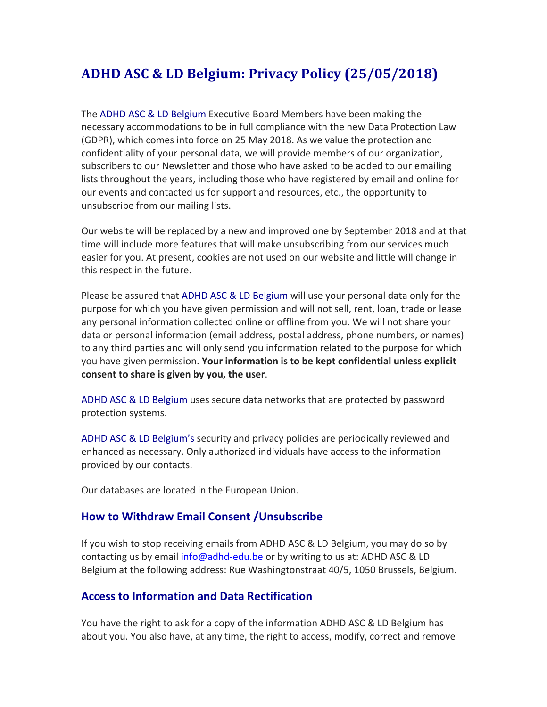# **ADHD ASC & LD Belgium: Privacy Policy (25/05/2018)**

The ADHD ASC & LD Belgium Executive Board Members have been making the necessary accommodations to be in full compliance with the new Data Protection Law (GDPR), which comes into force on 25 May 2018. As we value the protection and confidentiality of your personal data, we will provide members of our organization, subscribers to our Newsletter and those who have asked to be added to our emailing lists throughout the years, including those who have registered by email and online for our events and contacted us for support and resources, etc., the opportunity to unsubscribe from our mailing lists.

Our website will be replaced by a new and improved one by September 2018 and at that time will include more features that will make unsubscribing from our services much easier for you. At present, cookies are not used on our website and little will change in this respect in the future.

Please be assured that ADHD ASC & LD Belgium will use your personal data only for the purpose for which you have given permission and will not sell, rent, loan, trade or lease any personal information collected online or offline from you. We will not share your data or personal information (email address, postal address, phone numbers, or names) to any third parties and will only send you information related to the purpose for which you have given permission. Your information is to be kept confidential unless explicit consent to share is given by you, the user.

ADHD ASC & LD Belgium uses secure data networks that are protected by password protection systems.

ADHD ASC & LD Belgium's security and privacy policies are periodically reviewed and enhanced as necessary. Only authorized individuals have access to the information provided by our contacts.

Our databases are located in the European Union.

## **How to Withdraw Email Consent / Unsubscribe**

If you wish to stop receiving emails from ADHD ASC & LD Belgium, you may do so by contacting us by email info@adhd-edu.be or by writing to us at: ADHD ASC & LD Belgium at the following address: Rue Washingtonstraat 40/5, 1050 Brussels, Belgium.

## **Access to Information and Data Rectification**

You have the right to ask for a copy of the information ADHD ASC & LD Belgium has about you. You also have, at any time, the right to access, modify, correct and remove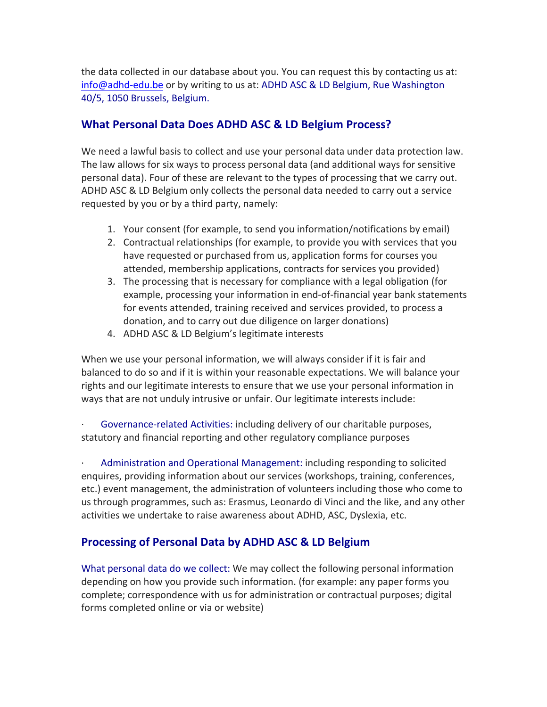the data collected in our database about you. You can request this by contacting us at: info@adhd-edu.be or by writing to us at: ADHD ASC & LD Belgium, Rue Washington 40/5, 1050 Brussels, Belgium.

## **What Personal Data Does ADHD ASC & LD Belgium Process?**

We need a lawful basis to collect and use your personal data under data protection law. The law allows for six ways to process personal data (and additional ways for sensitive personal data). Four of these are relevant to the types of processing that we carry out. ADHD ASC & LD Belgium only collects the personal data needed to carry out a service requested by you or by a third party, namely:

- 1. Your consent (for example, to send you information/notifications by email)
- 2. Contractual relationships (for example, to provide you with services that you have requested or purchased from us, application forms for courses you attended, membership applications, contracts for services you provided)
- 3. The processing that is necessary for compliance with a legal obligation (for example, processing your information in end-of-financial year bank statements for events attended, training received and services provided, to process a donation, and to carry out due diligence on larger donations)
- 4. ADHD ASC & LD Belgium's legitimate interests

When we use your personal information, we will always consider if it is fair and balanced to do so and if it is within your reasonable expectations. We will balance your rights and our legitimate interests to ensure that we use your personal information in ways that are not unduly intrusive or unfair. Our legitimate interests include:

Governance-related Activities: including delivery of our charitable purposes, statutory and financial reporting and other regulatory compliance purposes

Administration and Operational Management: including responding to solicited enquires, providing information about our services (workshops, training, conferences, etc.) event management, the administration of volunteers including those who come to us through programmes, such as: Erasmus, Leonardo di Vinci and the like, and any other activities we undertake to raise awareness about ADHD, ASC, Dyslexia, etc.

# **Processing of Personal Data by ADHD ASC & LD Belgium**

What personal data do we collect: We may collect the following personal information depending on how you provide such information. (for example: any paper forms you complete; correspondence with us for administration or contractual purposes; digital forms completed online or via or website)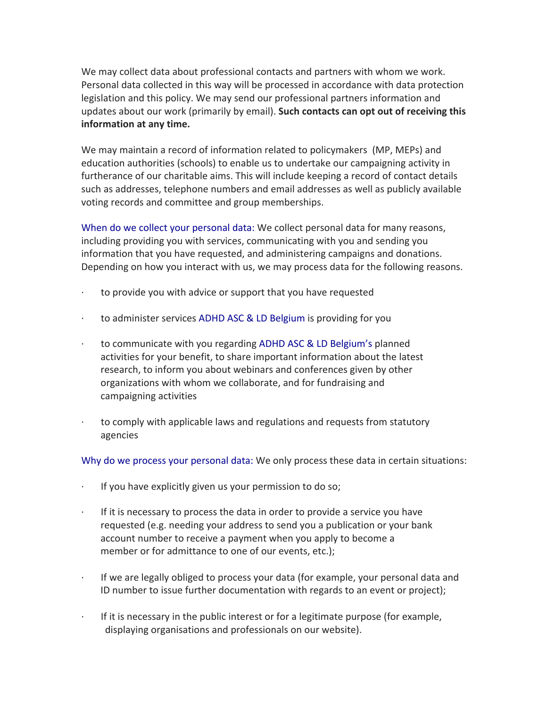We may collect data about professional contacts and partners with whom we work. Personal data collected in this way will be processed in accordance with data protection legislation and this policy. We may send our professional partners information and updates about our work (primarily by email). Such contacts can opt out of receiving this **information at any time.** 

We may maintain a record of information related to policymakers (MP, MEPs) and education authorities (schools) to enable us to undertake our campaigning activity in furtherance of our charitable aims. This will include keeping a record of contact details such as addresses, telephone numbers and email addresses as well as publicly available voting records and committee and group memberships.

When do we collect your personal data: We collect personal data for many reasons, including providing you with services, communicating with you and sending you information that you have requested, and administering campaigns and donations. Depending on how you interact with us, we may process data for the following reasons.

- to provide you with advice or support that you have requested
- $\cdot$  to administer services ADHD ASC & LD Belgium is providing for you
- $\cdot$  to communicate with you regarding ADHD ASC & LD Belgium's planned activities for your benefit, to share important information about the latest research, to inform you about webinars and conferences given by other organizations with whom we collaborate, and for fundraising and campaigning activities
- $\cdot$  to comply with applicable laws and regulations and requests from statutory agencies

Why do we process your personal data: We only process these data in certain situations:

- $\cdot$  If you have explicitly given us your permission to do so;
- $\cdot$  If it is necessary to process the data in order to provide a service you have requested (e.g. needing your address to send you a publication or your bank account number to receive a payment when you apply to become a member or for admittance to one of our events, etc.);
- If we are legally obliged to process your data (for example, your personal data and ID number to issue further documentation with regards to an event or project);
- $\cdot$  If it is necessary in the public interest or for a legitimate purpose (for example, displaying organisations and professionals on our website).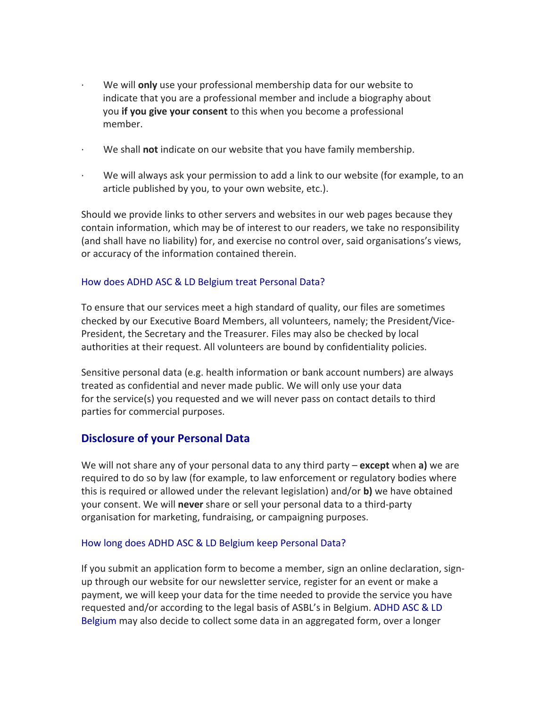- We will **only** use your professional membership data for our website to indicate that you are a professional member and include a biography about you **if you give your consent** to this when you become a professional member.
- We shall **not** indicate on our website that you have family membership.
- $\cdot$  We will always ask your permission to add a link to our website (for example, to an article published by you, to your own website, etc.).

Should we provide links to other servers and websites in our web pages because they contain information, which may be of interest to our readers, we take no responsibility (and shall have no liability) for, and exercise no control over, said organisations's views, or accuracy of the information contained therein.

#### How does ADHD ASC & LD Belgium treat Personal Data?

To ensure that our services meet a high standard of quality, our files are sometimes checked by our Executive Board Members, all volunteers, namely; the President/Vice-President, the Secretary and the Treasurer. Files may also be checked by local authorities at their request. All volunteers are bound by confidentiality policies.

Sensitive personal data (e.g. health information or bank account numbers) are always treated as confidential and never made public. We will only use your data for the service(s) you requested and we will never pass on contact details to third parties for commercial purposes.

## **Disclosure of your Personal Data**

We will not share any of your personal data to any third party – **except** when a) we are required to do so by law (for example, to law enforcement or regulatory bodies where this is required or allowed under the relevant legislation) and/or **b**) we have obtained your consent. We will **never** share or sell your personal data to a third-party organisation for marketing, fundraising, or campaigning purposes.

#### How long does ADHD ASC & LD Belgium keep Personal Data?

If you submit an application form to become a member, sign an online declaration, signup through our website for our newsletter service, register for an event or make a payment, we will keep your data for the time needed to provide the service you have requested and/or according to the legal basis of ASBL's in Belgium. ADHD ASC & LD Belgium may also decide to collect some data in an aggregated form, over a longer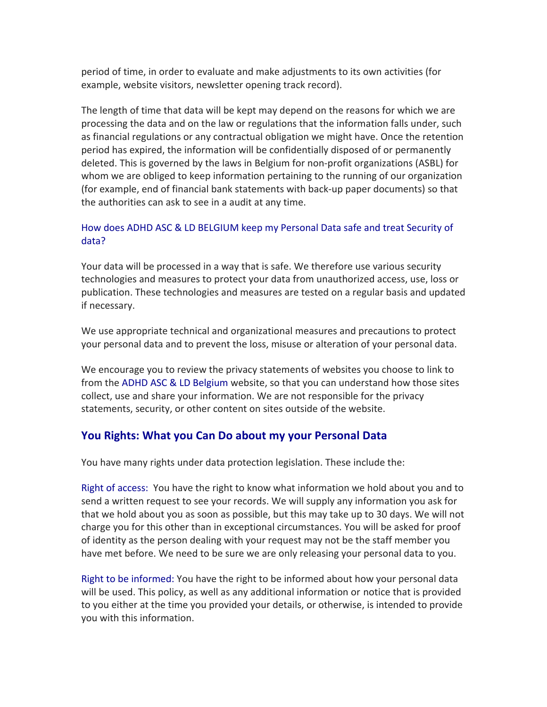period of time, in order to evaluate and make adjustments to its own activities (for example, website visitors, newsletter opening track record).

The length of time that data will be kept may depend on the reasons for which we are processing the data and on the law or regulations that the information falls under, such as financial regulations or any contractual obligation we might have. Once the retention period has expired, the information will be confidentially disposed of or permanently deleted. This is governed by the laws in Belgium for non-profit organizations (ASBL) for whom we are obliged to keep information pertaining to the running of our organization (for example, end of financial bank statements with back-up paper documents) so that the authorities can ask to see in a audit at any time.

#### How does ADHD ASC & LD BELGIUM keep my Personal Data safe and treat Security of data?

Your data will be processed in a way that is safe. We therefore use various security technologies and measures to protect your data from unauthorized access, use, loss or publication. These technologies and measures are tested on a regular basis and updated if necessary.

We use appropriate technical and organizational measures and precautions to protect your personal data and to prevent the loss, misuse or alteration of your personal data.

We encourage you to review the privacy statements of websites you choose to link to from the ADHD ASC & LD Belgium website, so that you can understand how those sites collect, use and share your information. We are not responsible for the privacy statements, security, or other content on sites outside of the website.

## **You Rights: What you Can Do about my your Personal Data**

You have many rights under data protection legislation. These include the:

Right of access: You have the right to know what information we hold about you and to send a written request to see your records. We will supply any information you ask for that we hold about you as soon as possible, but this may take up to 30 days. We will not charge you for this other than in exceptional circumstances. You will be asked for proof of identity as the person dealing with your request may not be the staff member you have met before. We need to be sure we are only releasing your personal data to you.

Right to be informed: You have the right to be informed about how your personal data will be used. This policy, as well as any additional information or notice that is provided to you either at the time you provided your details, or otherwise, is intended to provide you with this information.